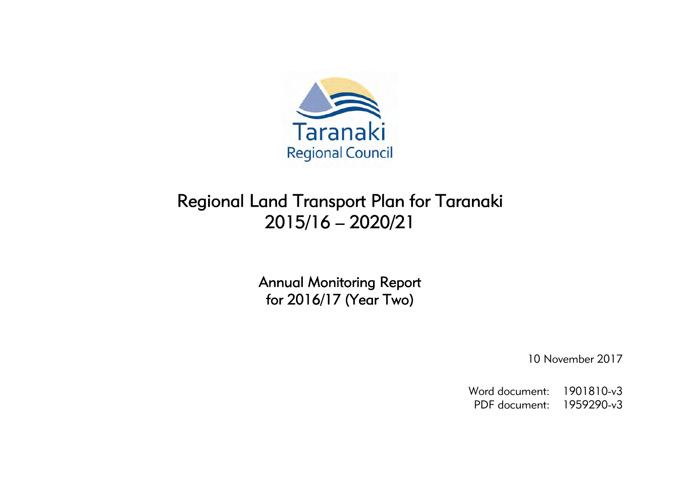

# Regional Land Transport Plan for Taranaki 2015/16 – 2020/21

Annual Monitoring Report for 2016/17 (Year Two)

10 November 2017

Word document: 1901810-v3 PDF document: 1959290-v3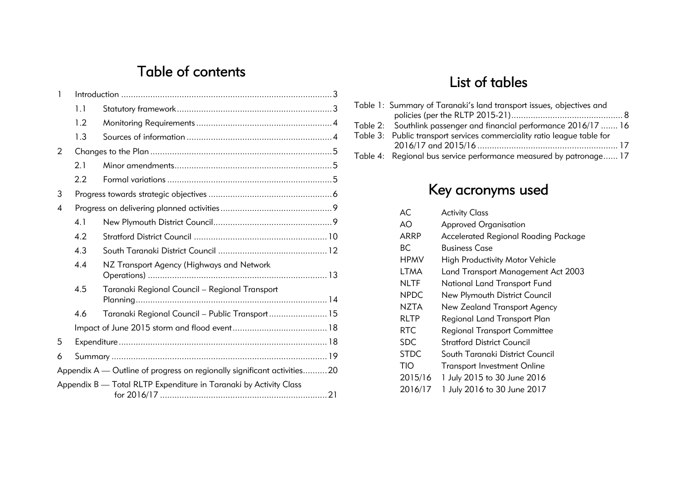## Table of contents

| 1 |     |                                                                          |  |
|---|-----|--------------------------------------------------------------------------|--|
|   | 1.1 |                                                                          |  |
|   | 1.2 |                                                                          |  |
|   | 1.3 |                                                                          |  |
| 2 |     |                                                                          |  |
|   | 2.1 |                                                                          |  |
|   | 2.2 |                                                                          |  |
| 3 |     |                                                                          |  |
| 4 |     |                                                                          |  |
|   | 4.1 |                                                                          |  |
|   | 4.2 |                                                                          |  |
|   | 4.3 |                                                                          |  |
|   | 4.4 | NZ Transport Agency (Highways and Network                                |  |
|   | 4.5 | Taranaki Regional Council - Regional Transport                           |  |
|   | 4.6 | Taranaki Regional Council - Public Transport 15                          |  |
|   |     |                                                                          |  |
| 5 |     |                                                                          |  |
| 6 |     |                                                                          |  |
|   |     | Appendix A — Outline of progress on regionally significant activities 20 |  |
|   |     | Appendix B - Total RLTP Expenditure in Taranaki by Activity Class        |  |

## List of tables

| Table 1: Summary of Taranaki's land transport issues, objectives and    |  |
|-------------------------------------------------------------------------|--|
|                                                                         |  |
| Table 2: Southlink passenger and financial performance 2016/17  16      |  |
| Table 3: Public transport services commerciality ratio league table for |  |
|                                                                         |  |
| Table 4: Regional bus service performance measured by patronage 17      |  |

# Key acronyms used

| AC.         | <b>Activity Class</b>                  |
|-------------|----------------------------------------|
| AO          | <b>Approved Organisation</b>           |
| ARRP        | Accelerated Regional Roading Package   |
| ВC          | <b>Business Case</b>                   |
| <b>HPMV</b> | <b>High Productivity Motor Vehicle</b> |
| LTMA        | Land Transport Management Act 2003     |
| NLTF        | National Land Transport Fund           |
| <b>NPDC</b> | New Plymouth District Council          |
| NZTA        | New Zealand Transport Agency           |
| RLTP        | Regional Land Transport Plan           |
| RTC.        | <b>Regional Transport Committee</b>    |
| <b>SDC</b>  | Stratford District Council             |
| <b>STDC</b> | South Taranaki District Council        |
| TIO         | <b>Transport Investment Online</b>     |
| 2015/16     | 1 July 2015 to 30 June 2016            |
| 2016/17     | 1 July 2016 to 30 June 2017            |
|             |                                        |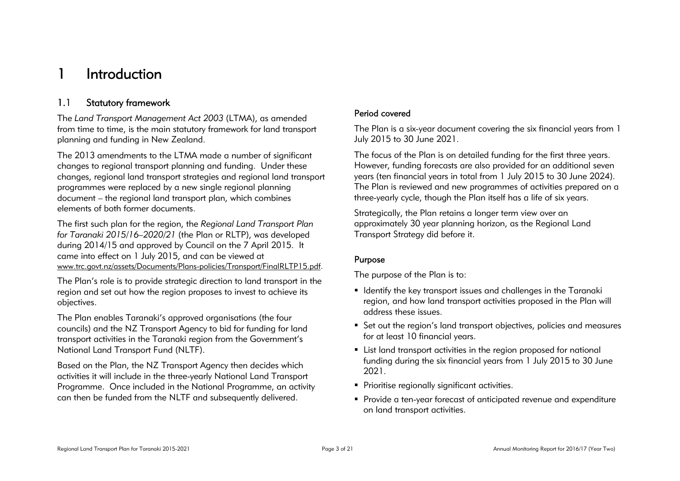## 1 Introduction

## 1.1 Statutory framework

The *Land Transport Management Act 2003* (LTMA), as amended from time to time, is the main statutory framework for land transport planning and funding in New Zealand.

The 2013 amendments to the LTMA made a number of significant changes to regional transport planning and funding. Under these changes, regional land transport strategies and regional land transport programmes were replaced by a new single regional planning document – the regional land transport plan, which combines elements of both former documents.

The first such plan for the region, the *Regional Land Transport Plan for Taranaki 2015/16–2020/21* (the Plan or RLTP), was developed during 2014/15 and approved by Council on the 7 April 2015. It came into effect on 1 July 2015, and can be viewed at www.trc.govt.nz/assets/Documents/Plans-policies/Transport/FinalRLTP15.pdf.

The Plan's role is to provide strategic direction to land transport in the region and set out how the region proposes to invest to achieve its objectives.

The Plan enables Taranaki's approved organisations (the four councils) and the NZ Transport Agency to bid for funding for land transport activities in the Taranaki region from the Government's National Land Transport Fund (NLTF).

Based on the Plan, the NZ Transport Agency then decides which activities it will include in the three-yearly National Land Transport Programme. Once included in the National Programme, an activity can then be funded from the NLTF and subsequently delivered.

#### Period covered

The Plan is a six-year document covering the six financial years from 1 July 2015 to 30 June 2021.

The focus of the Plan is on detailed funding for the first three years. However, funding forecasts are also provided for an additional seven years (ten financial years in total from 1 July 2015 to 30 June 2024). The Plan is reviewed and new programmes of activities prepared on a three-yearly cycle, though the Plan itself has a life of six years.

Strategically, the Plan retains a longer term view over an approximately 30 year planning horizon, as the Regional Land Transport Strategy did before it.

### Purpose

The purpose of the Plan is to:

- Identify the key transport issues and challenges in the Taranaki region, and how land transport activities proposed in the Plan will address these issues.
- Set out the region's land transport objectives, policies and measures for at least 10 financial years.
- List land transport activities in the region proposed for national funding during the six financial years from 1 July 2015 to 30 June 2021.
- **Prioritise regionally significant activities.**
- Provide a ten-year forecast of anticipated revenue and expenditure on land transport activities.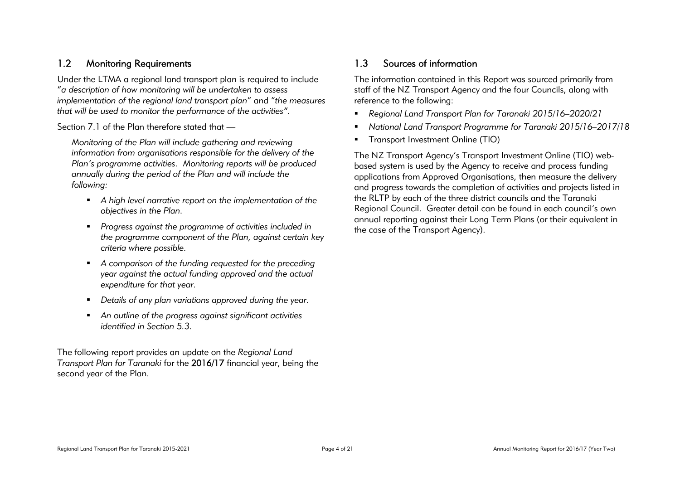## 1.2 Monitoring Requirements

Under the LTMA a regional land transport plan is required to include "*a description of how monitoring will be undertaken to assess implementation of the regional land transport plan*" and "*the measures that will be used to monitor the performance of the activities".*

Section 7.1 of the Plan therefore stated that —

*Monitoring of the Plan will include gathering and reviewing information from organisations responsible for the delivery of the Plan's programme activities. Monitoring reports will be produced annually during the period of the Plan and will include the following:* 

- *A high level narrative report on the implementation of the objectives in the Plan.*
- *Progress against the programme of activities included in the programme component of the Plan, against certain key criteria where possible.*
- *A comparison of the funding requested for the preceding year against the actual funding approved and the actual expenditure for that year.*
- *Details of any plan variations approved during the year.*
- *An outline of the progress against significant activities identified in Section 5.3.*

The following report provides an update on the *Regional Land Transport Plan for Taranaki* for the 2016/17 financial year, being the second year of the Plan.

## 1.3 Sources of information

The information contained in this Report was sourced primarily from staff of the NZ Transport Agency and the four Councils, along with reference to the following:

- *Regional Land Transport Plan for Taranaki 2015/16–2020/21*
- *National Land Transport Programme for Taranaki 2015/16–2017/18*
- **Transport Investment Online (TIO)**

The NZ Transport Agency's Transport Investment Online (TIO) webbased system is used by the Agency to receive and process funding applications from Approved Organisations, then measure the delivery and progress towards the completion of activities and projects listed in the RLTP by each of the three district councils and the Taranaki Regional Council. Greater detail can be found in each council's own annual reporting against their Long Term Plans (or their equivalent in the case of the Transport Agency).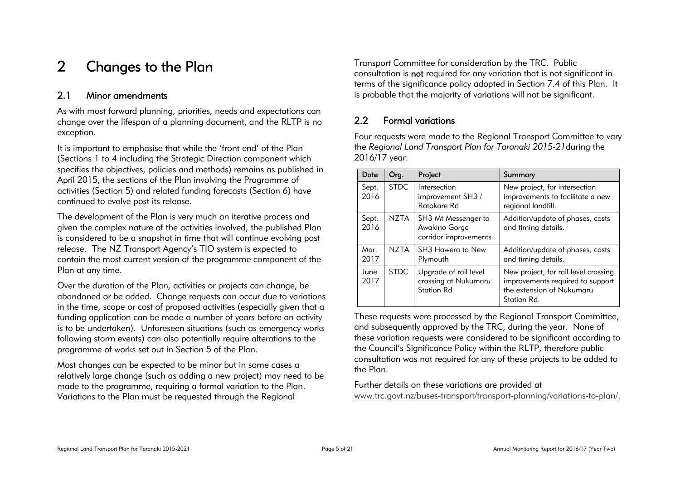## 2 Changes to the Plan

### 2.1 Minor amendments

As with most forward planning, priorities, needs and expectations can change over the lifespan of a planning document, and the RLTP is no exception.

It is important to emphasise that while the 'front end' of the Plan (Sections 1 to 4 including the Strategic Direction component which specifies the objectives, policies and methods) remains as published in April 2015, the sections of the Plan involving the Programme of activities (Section 5) and related funding forecasts (Section 6) have continued to evolve post its release.

The development of the Plan is very much an iterative process and given the complex nature of the activities involved, the published Plan is considered to be a snapshot in time that will continue evolving post release. The NZ Transport Agency's TIO system is expected to contain the most current version of the programme component of the Plan at any time.

Over the duration of the Plan, activities or projects can change, be abandoned or be added. Change requests can occur due to variations in the time, scope or cost of proposed activities (especially given that a funding application can be made a number of years before an activity is to be undertaken). Unforeseen situations (such as emergency works following storm events) can also potentially require alterations to the programme of works set out in Section 5 of the Plan.

Most changes can be expected to be minor but in some cases a relatively large change (such as adding a new project) may need to be made to the programme, requiring a formal variation to the Plan. Variations to the Plan must be requested through the Regional

Transport Committee for consideration by the TRC. Public consultation is not required for any variation that is not significant in terms of the significance policy adopted in Section 7.4 of this Plan. It is probable that the majority of variations will not be significant.

### 2.2 Formal variations

Four requests were made to the Regional Transport Committee to vary the *Regional Land Transport Plan for Taranaki 2015-21*during the 2016/17 year:

| Date          | Org.        | Project                                                            | Summary                                                                                                              |
|---------------|-------------|--------------------------------------------------------------------|----------------------------------------------------------------------------------------------------------------------|
| Sept.<br>2016 | <b>STDC</b> | Intersection<br>improvement SH3 /<br>Rotokare Rd                   | New project, for intersection<br>improvements to facilitate a new<br>regional landfill.                              |
| Sept.<br>2016 | <b>NZTA</b> | SH3 Mt Messenger to<br>Awakino Gorge<br>corridor improvements      | Addition/update of phases, costs<br>and timing details.                                                              |
| Mar.<br>2017  | NZTA        | SH3 Hawera to New<br>Plymouth                                      | Addition/update of phases, costs<br>and timing details.                                                              |
| June<br>2017  | <b>STDC</b> | Upgrade of rail level<br>crossing at Nukumaru<br><b>Station Rd</b> | New project, for rail level crossing<br>improvements required to support<br>the extension of Nukumaru<br>Station Rd. |

These requests were processed by the Regional Transport Committee, and subsequently approved by the TRC, during the year. None of these variation requests were considered to be significant according to the Council's Significance Policy within the RLTP, therefore public consultation was not required for any of these projects to be added to the Plan.

Further details on these variations are provided at www.trc.govt.nz/buses-transport/transport-planning/variations-to-plan/.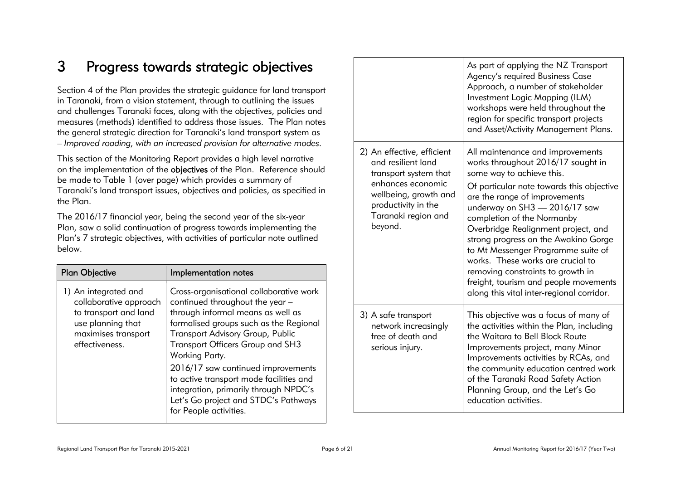## 3 Progress towards strategic objectives

Section 4 of the Plan provides the strategic guidance for land transport in Taranaki, from a vision statement, through to outlining the issues and challenges Taranaki faces, along with the objectives, policies and measures (methods) identified to address those issues. The Plan notes the general strategic direction for Taranaki's land transport system as – *Improved roading, with an increased provision for alternative modes.* 

This section of the Monitoring Report provides a high level narrative on the implementation of the objectives of the Plan. Reference should be made to Table 1 (over page) which provides a summary of Taranaki's land transport issues, objectives and policies, as specified in the Plan.

The 2016/17 financial year, being the second year of the six-year Plan, saw a solid continuation of progress towards implementing the Plan's 7 strategic objectives, with activities of particular note outlined below.

| <b>Plan Objective</b>                                                                                                                 | Implementation notes                                                                                                                                                                                                                                                                                                                                                                                                                            |  |
|---------------------------------------------------------------------------------------------------------------------------------------|-------------------------------------------------------------------------------------------------------------------------------------------------------------------------------------------------------------------------------------------------------------------------------------------------------------------------------------------------------------------------------------------------------------------------------------------------|--|
| 1) An integrated and<br>collaborative approach<br>to transport and land<br>use planning that<br>maximises transport<br>effectiveness. | Cross-organisational collaborative work<br>continued throughout the year -<br>through informal means as well as<br>formalised groups such as the Regional<br>Transport Advisory Group, Public<br>Transport Officers Group and SH3<br>Working Party.<br>2016/17 saw continued improvements<br>to active transport mode facilities and<br>integration, primarily through NPDC's<br>Let's Go project and STDC's Pathways<br>for People activities. |  |

|                                                                                                                                                                                  | As part of applying the NZ Transport<br>Agency's required Business Case<br>Approach, a number of stakeholder<br>Investment Logic Mapping (ILM)<br>workshops were held throughout the<br>region for specific transport projects<br>and Asset/Activity Management Plans.                                                                                                                                                                                                                                                                |
|----------------------------------------------------------------------------------------------------------------------------------------------------------------------------------|---------------------------------------------------------------------------------------------------------------------------------------------------------------------------------------------------------------------------------------------------------------------------------------------------------------------------------------------------------------------------------------------------------------------------------------------------------------------------------------------------------------------------------------|
| 2) An effective, efficient<br>and resilient land<br>transport system that<br>enhances economic<br>wellbeing, growth and<br>productivity in the<br>Taranaki region and<br>beyond. | All maintenance and improvements<br>works throughout 2016/17 sought in<br>some way to achieve this.<br>Of particular note towards this objective<br>are the range of improvements<br>underway on SH3 - 2016/17 saw<br>completion of the Normanby<br>Overbridge Realignment project, and<br>strong progress on the Awakino Gorge<br>to Mt Messenger Programme suite of<br>works. These works are crucial to<br>removing constraints to growth in<br>freight, tourism and people movements<br>along this vital inter-regional corridor. |
| 3) A safe transport<br>network increasingly<br>free of death and<br>serious injury.                                                                                              | This objective was a focus of many of<br>the activities within the Plan, including<br>the Waitara to Bell Block Route<br>Improvements project, many Minor<br>Improvements activities by RCAs, and<br>the community education centred work<br>of the Taranaki Road Safety Action<br>Planning Group, and the Let's Go<br>education activities.                                                                                                                                                                                          |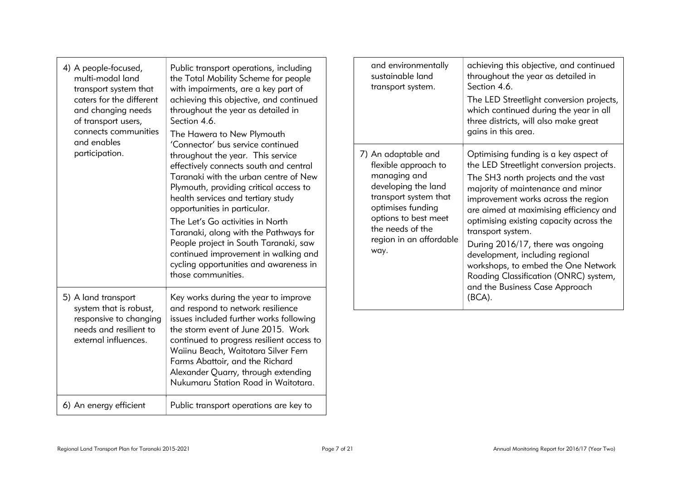| 4) A people-focused,<br>multi-modal land<br>transport system that<br>caters for the different<br>and changing needs<br>of transport users,<br>connects communities | Public transport operations, including<br>the Total Mobility Scheme for people<br>with impairments, are a key part of<br>achieving this objective, and continued<br>throughout the year as detailed in<br>Section 4.6.<br>The Hawera to New Plymouth                                                                                                                                                                                                                                                    | sustainable land                                                | and environmentally<br>transport system.                                                                                                     | achieving this objective, and continued<br>throughout the year as detailed in<br>Section 4.6.<br>The LED Streetlight conversion projects,<br>which continued during the year in all<br>three districts, will also make great<br>gains in this area.                                                                                                                                                                                                                                                      |
|--------------------------------------------------------------------------------------------------------------------------------------------------------------------|---------------------------------------------------------------------------------------------------------------------------------------------------------------------------------------------------------------------------------------------------------------------------------------------------------------------------------------------------------------------------------------------------------------------------------------------------------------------------------------------------------|-----------------------------------------------------------------|----------------------------------------------------------------------------------------------------------------------------------------------|----------------------------------------------------------------------------------------------------------------------------------------------------------------------------------------------------------------------------------------------------------------------------------------------------------------------------------------------------------------------------------------------------------------------------------------------------------------------------------------------------------|
| and enables<br>participation.                                                                                                                                      | 'Connector' bus service continued<br>throughout the year. This service<br>effectively connects south and central<br>Taranaki with the urban centre of New<br>Plymouth, providing critical access to<br>health services and tertiary study<br>opportunities in particular.<br>The Let's Go activities in North<br>Taranaki, along with the Pathways for<br>People project in South Taranaki, saw<br>continued improvement in walking and<br>cycling opportunities and awareness in<br>those communities. | 7) An adaptable and<br>managing and<br>the needs of the<br>way. | flexible approach to<br>developing the land<br>transport system that<br>optimises funding<br>options to best meet<br>region in an affordable | Optimising funding is a key aspect of<br>the LED Streetlight conversion projects.<br>The SH3 north projects and the vast<br>majority of maintenance and minor<br>improvement works across the region<br>are aimed at maximising efficiency and<br>optimising existing capacity across the<br>transport system.<br>During 2016/17, there was ongoing<br>development, including regional<br>workshops, to embed the One Network<br>Roading Classification (ONRC) system,<br>and the Business Case Approach |
| 5) A land transport<br>system that is robust,<br>responsive to changing<br>needs and resilient to<br>external influences.                                          | Key works during the year to improve<br>and respond to network resilience<br>issues included further works following<br>the storm event of June 2015. Work<br>continued to progress resilient access to<br>Waiinu Beach, Waitotara Silver Fern<br>Farms Abattoir, and the Richard<br>Alexander Quarry, through extending<br>Nukumaru Station Road in Waitotara.                                                                                                                                         |                                                                 |                                                                                                                                              | (BCA).                                                                                                                                                                                                                                                                                                                                                                                                                                                                                                   |
| 6) An energy efficient                                                                                                                                             | Public transport operations are key to                                                                                                                                                                                                                                                                                                                                                                                                                                                                  |                                                                 |                                                                                                                                              |                                                                                                                                                                                                                                                                                                                                                                                                                                                                                                          |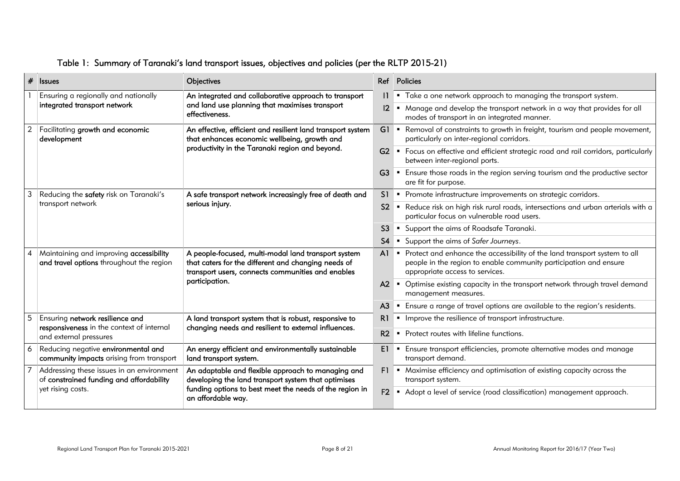|                | $#$ Issues                                                                            | Objectives                                                                                                                                                                                 |                | Ref Policies                                                                                                                                                                        |
|----------------|---------------------------------------------------------------------------------------|--------------------------------------------------------------------------------------------------------------------------------------------------------------------------------------------|----------------|-------------------------------------------------------------------------------------------------------------------------------------------------------------------------------------|
|                | Ensuring a regionally and nationally                                                  | An integrated and collaborative approach to transport<br>and land use planning that maximises transport<br>effectiveness.                                                                  |                | " Take a one network approach to managing the transport system.                                                                                                                     |
|                | integrated transport network                                                          |                                                                                                                                                                                            |                | " Manage and develop the transport network in a way that provides for all<br>modes of transport in an integrated manner.                                                            |
| $\overline{2}$ | Facilitating growth and economic<br>development                                       | An effective, efficient and resilient land transport system<br>that enhances economic wellbeing, growth and                                                                                |                | G1 • Removal of constraints to growth in freight, tourism and people movement,<br>particularly on inter-regional corridors.                                                         |
|                |                                                                                       | productivity in the Taranaki region and beyond.                                                                                                                                            |                | G2 Focus on effective and efficient strategic road and rail corridors, particularly<br>between inter-regional ports.                                                                |
|                |                                                                                       |                                                                                                                                                                                            |                | G3 F Ensure those roads in the region serving tourism and the productive sector<br>are fit for purpose.                                                                             |
| 3              | Reducing the safety risk on Taranaki's                                                | A safe transport network increasingly free of death and                                                                                                                                    |                | S1 • Promote infrastructure improvements on strategic corridors.                                                                                                                    |
|                | transport network                                                                     | serious injury.                                                                                                                                                                            | S <sub>2</sub> | Reduce risk on high risk rural roads, intersections and urban arterials with a<br>particular focus on vulnerable road users.                                                        |
|                |                                                                                       |                                                                                                                                                                                            | S <sub>3</sub> | • Support the aims of Roadsafe Taranaki.                                                                                                                                            |
|                |                                                                                       |                                                                                                                                                                                            | S <sub>4</sub> | • Support the aims of Safer Journeys.                                                                                                                                               |
| 4              | Maintaining and improving accessibility<br>and travel options throughout the region   | A people-focused, multi-modal land transport system<br>that caters for the different and changing needs of<br>transport users, connects communities and enables<br>participation.          |                | Al Forect and enhance the accessibility of the land transport system to all<br>people in the region to enable community participation and ensure<br>appropriate access to services. |
|                |                                                                                       |                                                                                                                                                                                            |                | A2 • Optimise existing capacity in the transport network through travel demand<br>management measures.                                                                              |
|                |                                                                                       |                                                                                                                                                                                            | A <sub>3</sub> | " Ensure a range of travel options are available to the region's residents.                                                                                                         |
| 5              | Ensuring network resilience and                                                       | A land transport system that is robust, responsive to                                                                                                                                      | R1             | Improve the resilience of transport infrastructure.<br>$\blacksquare$                                                                                                               |
|                | responsiveness in the context of internal<br>and external pressures                   | changing needs and resilient to external influences.                                                                                                                                       | R2             | • Protect routes with lifeline functions.                                                                                                                                           |
| 6              | Reducing negative environmental and<br>community impacts arising from transport       | An energy efficient and environmentally sustainable<br>land transport system.                                                                                                              | E1.            | Ensure transport efficiencies, promote alternative modes and manage<br>transport demand.                                                                                            |
|                | Addressing these issues in an environment<br>of constrained funding and affordability | An adaptable and flexible approach to managing and<br>developing the land transport system that optimises<br>funding options to best meet the needs of the region in<br>an affordable way. |                | F1 • Maximise efficiency and optimisation of existing capacity across the<br>transport system.                                                                                      |
|                | yet rising costs.                                                                     |                                                                                                                                                                                            |                | F2 • Adopt a level of service (road classification) management approach.                                                                                                            |

## Table 1: Summary of Taranaki's land transport issues, objectives and policies (per the RLTP 2015-21)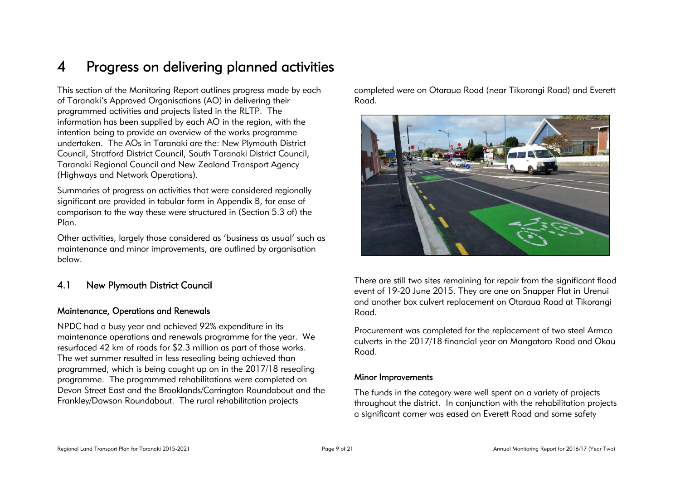## 4 Progress on delivering planned activities

This section of the Monitoring Report outlines progress made by each of Taranaki's Approved Organisations (AO) in delivering their programmed activities and projects listed in the RLTP. The information has been supplied by each AO in the region, with the intention being to provide an overview of the works programme undertaken. The AOs in Taranaki are the: New Plymouth District Council, Stratford District Council, South Taranaki District Council, Taranaki Regional Council and New Zealand Transport Agency (Highways and Network Operations).

Summaries of progress on activities that were considered regionally significant are provided in tabular form in Appendix B, for ease of comparison to the way these were structured in (Section 5.3 of) the Plan.

Other activities, largely those considered as 'business as usual' such as maintenance and minor improvements, are outlined by organisation below.

### 4.1 New Plymouth District Council

#### Maintenance, Operations and Renewals

NPDC had a busy year and achieved 92% expenditure in its maintenance operations and renewals programme for the year. We resurfaced 42 km of roads for \$2.3 million as part of those works. The wet summer resulted in less resealing being achieved than programmed, which is being caught up on in the 2017/18 resealing programme. The programmed rehabilitations were completed on Devon Street East and the Brooklands/Carrington Roundabout and the Frankley/Dawson Roundabout. The rural rehabilitation projects

completed were on Otaraua Road (near Tikorangi Road) and Everett Road.



There are still two sites remaining for repair from the significant flood event of 19-20 June 2015. They are one on Snapper Flat in Urenui and another box culvert replacement on Otaraua Road at Tikorangi Road.

Procurement was completed for the replacement of two steel Armco culverts in the 2017/18 financial year on Mangatoro Road and Okau Road.

#### Minor Improvements

The funds in the category were well spent on a variety of projects throughout the district. In conjunction with the rehabilitation projects a significant corner was eased on Everett Road and some safety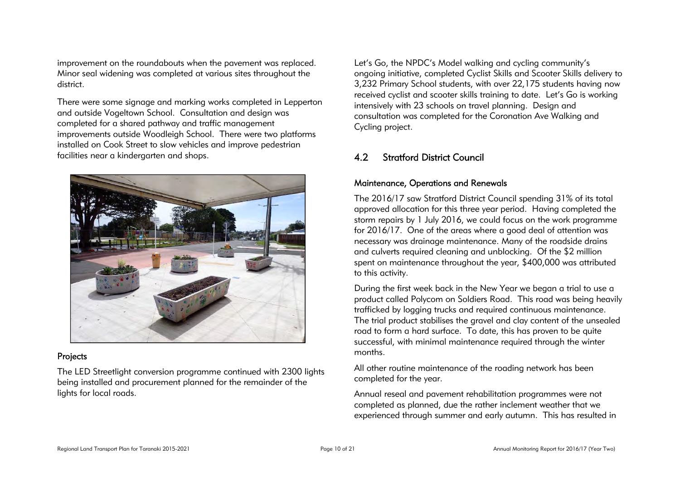improvement on the roundabouts when the pavement was replaced. Minor seal widening was completed at various sites throughout the district.

There were some signage and marking works completed in Lepperton and outside Vogeltown School. Consultation and design was completed for a shared pathway and traffic management improvements outside Woodleigh School. There were two platforms installed on Cook Street to slow vehicles and improve pedestrian facilities near a kindergarten and shops.



#### Projects

The LED Streetlight conversion programme continued with 2300 lights being installed and procurement planned for the remainder of the lights for local roads.

Let's Go, the NPDC's Model walking and cycling community's ongoing initiative, completed Cyclist Skills and Scooter Skills delivery to 3,232 Primary School students, with over 22,175 students having now received cyclist and scooter skills training to date. Let's Go is working intensively with 23 schools on travel planning. Design and consultation was completed for the Coronation Ave Walking and Cycling project.

## 4.2 Stratford District Council

#### Maintenance, Operations and Renewals

The 2016/17 saw Stratford District Council spending 31% of its total approved allocation for this three year period. Having completed the storm repairs by 1 July 2016, we could focus on the work programme for 2016/17. One of the areas where a good deal of attention was necessary was drainage maintenance. Many of the roadside drains and culverts required cleaning and unblocking. Of the \$2 million spent on maintenance throughout the year, \$400,000 was attributed to this activity.

During the first week back in the New Year we began a trial to use a product called Polycom on Soldiers Road. This road was being heavily trafficked by logging trucks and required continuous maintenance. The trial product stabilises the gravel and clay content of the unsealed road to form a hard surface. To date, this has proven to be quite successful, with minimal maintenance required through the winter months.

All other routine maintenance of the roading network has been completed for the year.

Annual reseal and pavement rehabilitation programmes were not completed as planned, due the rather inclement weather that we experienced through summer and early autumn. This has resulted in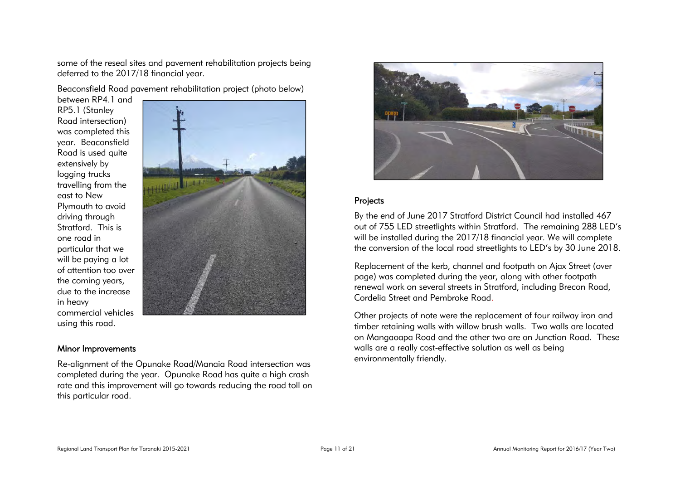some of the reseal sites and pavement rehabilitation projects being deferred to the 2017/18 financial year.

Beaconsfield Road pavement rehabilitation project (photo below)

between RP4.1 and RP5.1 (Stanley Road intersection) was completed this year. Beaconsfield Road is used quite extensively by logging trucks travelling from the east to New Plymouth to avoid driving through Stratford. This is one road in particular that we will be paying a lot of attention too over the coming years, due to the increase in heavy commercial vehicles using this road.



#### Minor Improvements

Re-alignment of the Opunake Road/Manaia Road intersection was completed during the year. Opunake Road has quite a high crash rate and this improvement will go towards reducing the road toll on this particular road.



#### Projects

By the end of June 2017 Stratford District Council had installed 467 out of 755 LED streetlights within Stratford. The remaining 288 LED's will be installed during the 2017/18 financial year. We will complete the conversion of the local road streetlights to LED's by 30 June 2018.

Replacement of the kerb, channel and footpath on Ajax Street (over page) was completed during the year, along with other footpath renewal work on several streets in Stratford, including Brecon Road, Cordelia Street and Pembroke Road.

Other projects of note were the replacement of four railway iron and timber retaining walls with willow brush walls. Two walls are located on Mangaoapa Road and the other two are on Junction Road. These walls are a really cost-effective solution as well as being environmentally friendly.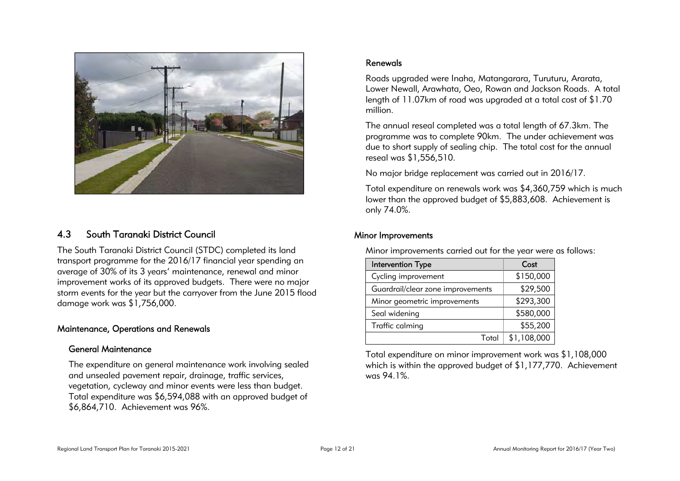

### 4.3 South Taranaki District Council

The South Taranaki District Council (STDC) completed its land transport programme for the 2016/17 financial year spending an average of 30% of its 3 years' maintenance, renewal and minor improvement works of its approved budgets. There were no major storm events for the year but the carryover from the June 2015 flood damage work was \$1,756,000.

#### Maintenance, Operations and Renewals

#### General Maintenance

The expenditure on general maintenance work involving sealed and unsealed pavement repair, drainage, traffic services, vegetation, cycleway and minor events were less than budget. Total expenditure was \$6,594,088 with an approved budget of \$6,864,710. Achievement was 96%.

#### Renewals

Roads upgraded were Inaha, Matangarara, Turuturu, Ararata, Lower Newall, Arawhata, Oeo, Rowan and Jackson Roads. A total length of 11.07km of road was upgraded at a total cost of \$1.70 million.

The annual reseal completed was a total length of 67.3km. The programme was to complete 90km. The under achievement was due to short supply of sealing chip. The total cost for the annual reseal was \$1,556,510.

No major bridge replacement was carried out in 2016/17.

Total expenditure on renewals work was \$4,360,759 which is much lower than the approved budget of \$5,883,608. Achievement is only 74.0%.

#### Minor Improvements

Minor improvements carried out for the year were as follows:

| Intervention Type                 | Cost        |
|-----------------------------------|-------------|
| Cycling improvement               | \$150,000   |
| Guardrail/clear zone improvements | \$29,500    |
| Minor geometric improvements      | \$293,300   |
| Seal widening                     | \$580,000   |
| Traffic calming                   | \$55,200    |
| Total                             | \$1,108,000 |

Total expenditure on minor improvement work was \$1,108,000 which is within the approved budget of \$1,177,770. Achievement was 94.1%.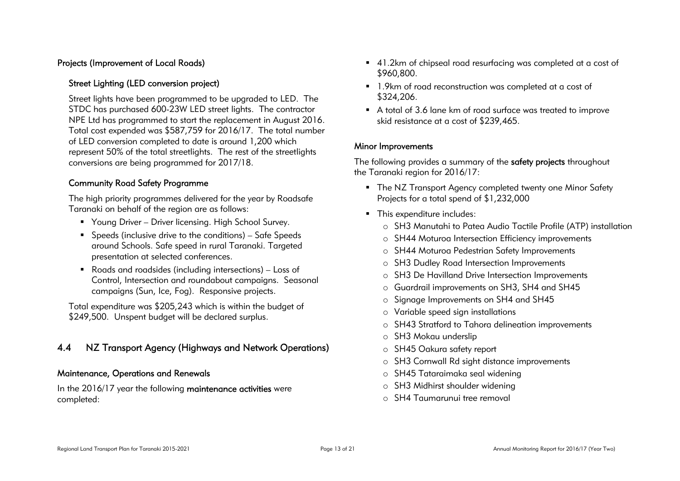#### Projects (Improvement of Local Roads)

#### Street Lighting (LED conversion project)

Street lights have been programmed to be upgraded to LED. The STDC has purchased 600-23W LED street lights. The contractor NPE Ltd has programmed to start the replacement in August 2016. Total cost expended was \$587,759 for 2016/17. The total number of LED conversion completed to date is around 1,200 which represent 50% of the total streetlights. The rest of the streetlights conversions are being programmed for 2017/18.

#### Community Road Safety Programme

The high priority programmes delivered for the year by Roadsafe Taranaki on behalf of the region are as follows:

- Young Driver Driver licensing. High School Survey.
- Speeds (inclusive drive to the conditions) Safe Speeds around Schools. Safe speed in rural Taranaki. Targeted presentation at selected conferences.
- Roads and roadsides (including intersections) Loss of Control, Intersection and roundabout campaigns. Seasonal campaigns (Sun, Ice, Fog). Responsive projects.

Total expenditure was \$205,243 which is within the budget of \$249,500. Unspent budget will be declared surplus.

### 4.4 NZ Transport Agency (Highways and Network Operations)

#### Maintenance, Operations and Renewals

In the 2016/17 year the following maintenance activities were completed:

- 41.2km of chipseal road resurfacing was completed at a cost of \$960,800.
- 1.9km of road reconstruction was completed at a cost of \$324,206.
- A total of 3.6 lane km of road surface was treated to improve skid resistance at a cost of \$239,465.

#### Minor Improvements

The following provides a summary of the safety projects throughout the Taranaki region for 2016/17:

- The NZ Transport Agency completed twenty one Minor Safety Projects for a total spend of \$1,232,000
- This expenditure includes:
	- o SH3 Manutahi to Patea Audio Tactile Profile (ATP) installation
	- o SH44 Moturoa Intersection Efficiency improvements
	- o SH44 Moturoa Pedestrian Safety Improvements
	- o SH3 Dudley Road Intersection Improvements
	- o SH3 De Havilland Drive Intersection Improvements
	- o Guardrail improvements on SH3, SH4 and SH45
	- o Signage Improvements on SH4 and SH45
	- o Variable speed sign installations
	- o SH43 Stratford to Tahora delineation improvements
	- o SH3 Mokau underslip
	- o SH45 Oakura safety report
	- o SH3 Cornwall Rd sight distance improvements
	- o SH45 Tataraimaka seal widening
	- o SH3 Midhirst shoulder widening
	- o SH4 Taumarunui tree removal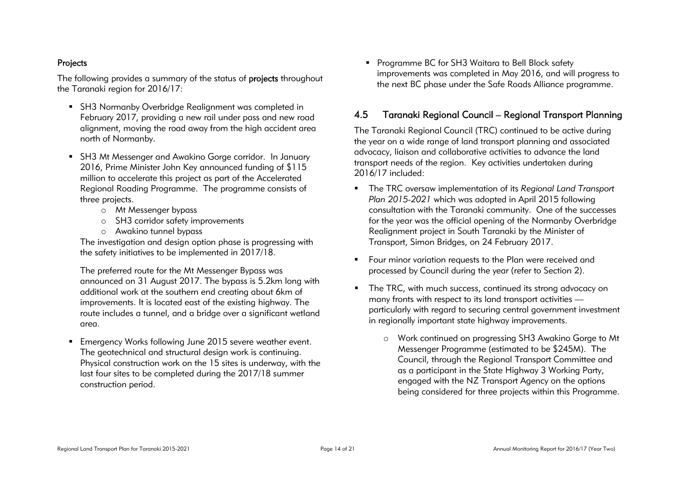#### Projects

The following provides a summary of the status of **projects** throughout the Taranaki region for 2016/17:

- SH3 Normanby Overbridge Realignment was completed in February 2017, providing a new rail under pass and new road alignment, moving the road away from the high accident area north of Normanby.
- SH3 Mt Messenger and Awakino Gorge corridor. In January 2016, Prime Minister John Key announced funding of \$115 million to accelerate this project as part of the Accelerated Regional Roading Programme. The programme consists of three projects.
	- o Mt Messenger bypass
	- o SH3 corridor safety improvements
	- o Awakino tunnel bypass

The investigation and design option phase is progressing with the safety initiatives to be implemented in 2017/18.

The preferred route for the Mt Messenger Bypass was announced on 31 August 2017. The bypass is 5.2km long with additional work at the southern end creating about 6km of improvements. It is located east of the existing highway. The route includes a tunnel, and a bridge over a significant wetland area.

 Emergency Works following June 2015 severe weather event. The geotechnical and structural design work is continuing. Physical construction work on the 15 sites is underway, with the last four sites to be completed during the 2017/18 summer construction period.

**Programme BC for SH3 Waitara to Bell Block safety** improvements was completed in May 2016, and will progress to the next BC phase under the Safe Roads Alliance programme.

### 4.5 Taranaki Regional Council – Regional Transport Planning

The Taranaki Regional Council (TRC) continued to be active during the year on a wide range of land transport planning and associated advocacy, liaison and collaborative activities to advance the land transport needs of the region. Key activities undertaken during 2016/17 included:

- The TRC oversaw implementation of its *Regional Land Transport Plan 2015-2021* which was adopted in April 2015 following consultation with the Taranaki community. One of the successes for the year was the official opening of the Normanby Overbridge Realignment project in South Taranaki by the Minister of Transport, Simon Bridges, on 24 February 2017.
- **F** Four minor variation requests to the Plan were received and processed by Council during the year (refer to Section 2).
- The TRC, with much success, continued its strong advocacy on many fronts with respect to its land transport activities particularly with regard to securing central government investment in regionally important state highway improvements.
	- o Work continued on progressing SH3 Awakino Gorge to Mt Messenger Programme (estimated to be \$245M). The Council, through the Regional Transport Committee and as a participant in the State Highway 3 Working Party, engaged with the NZ Transport Agency on the options being considered for three projects within this Programme.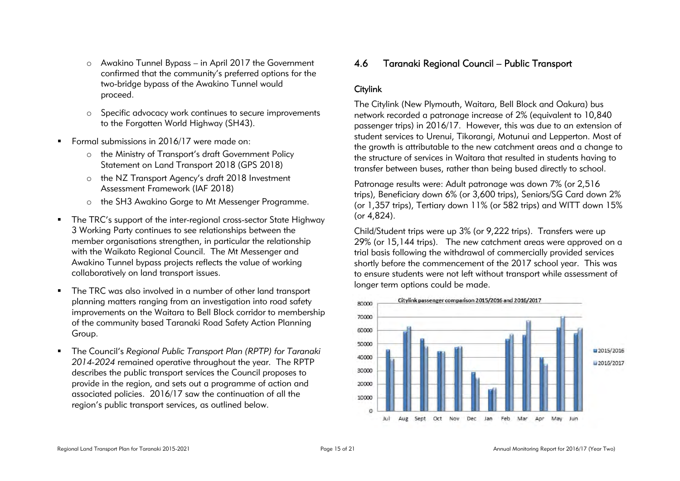- o Awakino Tunnel Bypass in April 2017 the Government confirmed that the community's preferred options for the two-bridge bypass of the Awakino Tunnel would proceed.
- o Specific advocacy work continues to secure improvements to the Forgotten World Highway (SH43).
- Formal submissions in 2016/17 were made on:
	- o the Ministry of Transport's draft Government Policy Statement on Land Transport 2018 (GPS 2018)
	- o the NZ Transport Agency's draft 2018 Investment Assessment Framework (IAF 2018)
	- o the SH3 Awakino Gorge to Mt Messenger Programme.
- The TRC's support of the inter-regional cross-sector State Highway 3 Working Party continues to see relationships between the member organisations strengthen, in particular the relationship with the Waikato Regional Council. The Mt Messenger and Awakino Tunnel bypass projects reflects the value of working collaboratively on land transport issues.
- The TRC was also involved in a number of other land transport planning matters ranging from an investigation into road safety improvements on the Waitara to Bell Block corridor to membership of the community based Taranaki Road Safety Action Planning Group.
- The Council's *Regional Public Transport Plan (RPTP) for Taranaki 2014-2024* remained operative throughout the year. The RPTP describes the public transport services the Council proposes to provide in the region, and sets out a programme of action and associated policies. 2016/17 saw the continuation of all the region's public transport services, as outlined below.

## 4.6 Taranaki Regional Council – Public Transport

### **Citylink**

The Citylink (New Plymouth, Waitara, Bell Block and Oakura) bus network recorded a patronage increase of 2% (equivalent to 10,840 passenger trips) in 2016/17. However, this was due to an extension of student services to Urenui, Tikorangi, Motunui and Lepperton. Most of the growth is attributable to the new catchment areas and a change to the structure of services in Waitara that resulted in students having to transfer between buses, rather than being bused directly to school.

Patronage results were: Adult patronage was down 7% (or 2,516 trips), Beneficiary down 6% (or 3,600 trips), Seniors/SG Card down 2% (or 1,357 trips), Tertiary down 11% (or 582 trips) and WITT down 15% (or 4,824).

Child/Student trips were up 3% (or 9,222 trips). Transfers were up 29% (or 15,144 trips). The new catchment areas were approved on a trial basis following the withdrawal of commercially provided services shortly before the commencement of the 2017 school year. This was to ensure students were not left without transport while assessment of longer term options could be made.

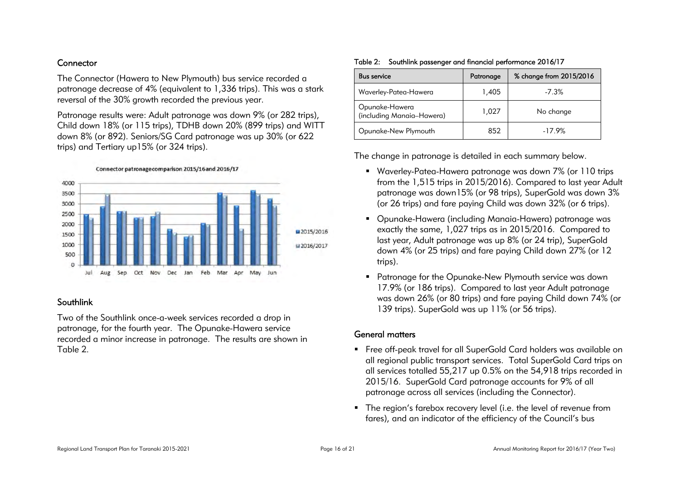#### **Connector**

The Connector (Hawera to New Plymouth) bus service recorded a patronage decrease of 4% (equivalent to 1,336 trips). This was a stark reversal of the 30% growth recorded the previous year.

Patronage results were: Adult patronage was down 9% (or 282 trips), Child down 18% (or 115 trips), TDHB down 20% (899 trips) and WITT down 8% (or 892). Seniors/SG Card patronage was up 30% (or 622 trips) and Tertiary up15% (or 324 trips).





#### Southlink

Two of the Southlink once-a-week services recorded a drop in patronage, for the fourth year. The Opunake-Hawera service recorded a minor increase in patronage. The results are shown in Table 2.

#### Table 2: Southlink passenger and financial performance 2016/17

| <b>Bus service</b>                          | Patronage | % change from 2015/2016 |
|---------------------------------------------|-----------|-------------------------|
| Waverley-Patea-Hawera                       | 1,405     | $-7.3%$                 |
| Opunake-Hawera<br>(including Manaia-Hawera) | 1.027     | No change               |
| Opunake-New Plymouth                        | 852       | $-17.9%$                |

The change in patronage is detailed in each summary below.

- Waverley-Patea-Hawera patronage was down 7% (or 110 trips from the 1,515 trips in 2015/2016). Compared to last year Adult patronage was down15% (or 98 trips), SuperGold was down 3% (or 26 trips) and fare paying Child was down 32% (or 6 trips).
- Opunake-Hawera (including Manaia-Hawera) patronage was exactly the same, 1,027 trips as in 2015/2016. Compared to last year, Adult patronage was up 8% (or 24 trip), SuperGold down 4% (or 25 trips) and fare paying Child down 27% (or 12 trips).
- Patronage for the Opunake-New Plymouth service was down 17.9% (or 186 trips). Compared to last year Adult patronage was down 26% (or 80 trips) and fare paying Child down 74% (or 139 trips). SuperGold was up 11% (or 56 trips).

#### General matters

- Free off-peak travel for all SuperGold Card holders was available on all regional public transport services. Total SuperGold Card trips on all services totalled 55,217 up 0.5% on the 54,918 trips recorded in 2015/16. SuperGold Card patronage accounts for 9% of all patronage across all services (including the Connector).
- The region's farebox recovery level (i.e. the level of revenue from fares), and an indicator of the efficiency of the Council's bus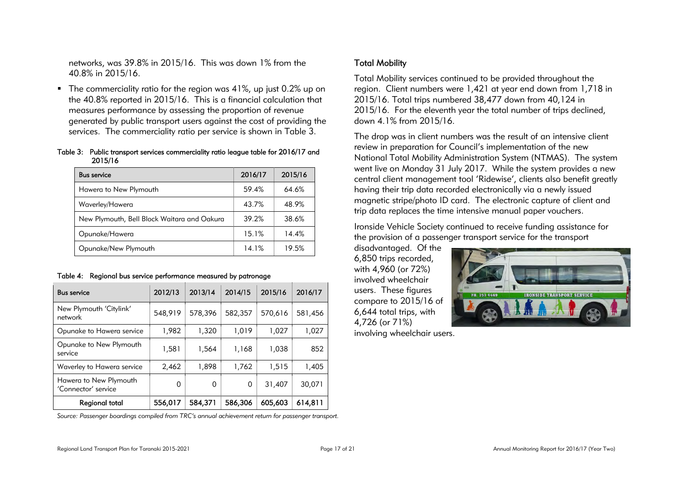networks, was 39.8% in 2015/16. This was down 1% from the 40.8% in 2015/16.

■ The commerciality ratio for the region was 41%, up just 0.2% up on the 40.8% reported in 2015/16. This is a financial calculation that measures performance by assessing the proportion of revenue generated by public transport users against the cost of providing the services. The commerciality ratio per service is shown in Table 3.

#### Table 3: Public transport services commerciality ratio league table for 2016/17 and 2015/16

| <b>Bus service</b>                          | 2016/17 | 2015/16 |
|---------------------------------------------|---------|---------|
| Hawera to New Plymouth                      | 59.4%   | 64.6%   |
| Waverley/Hawera                             | 43.7%   | 48.9%   |
| New Plymouth, Bell Block Waitara and Oakura | 39.2%   | 38.6%   |
| Opunake/Hawera                              | 15.1%   | 14.4%   |
| Opunake/New Plymouth                        | 14.1%   | 19.5%   |

|  |  |  | Table 4: Regional bus service performance measured by patronage |
|--|--|--|-----------------------------------------------------------------|
|--|--|--|-----------------------------------------------------------------|

| <b>Bus service</b>                            | 2012/13 | 2013/14 | 2014/15 | 2015/16 | 2016/17 |
|-----------------------------------------------|---------|---------|---------|---------|---------|
| New Plymouth 'Citylink'<br>network            | 548,919 | 578,396 | 582,357 | 570,616 | 581,456 |
| Opunake to Hawera service                     | 1,982   | 1,320   | 1,019   | 1,027   | 1,027   |
| Opunake to New Plymouth<br>service            | 1,581   | 1,564   | 1,168   | 1,038   | 852     |
| Waverley to Hawera service                    | 2,462   | 1,898   | 1,762   | 1.515   | 1,405   |
| Hawera to New Plymouth<br>'Connector' service | 0       | 0       | 0       | 31,407  | 30,071  |
| Regional total                                | 556,017 | 584,371 | 586,306 | 605,603 | 614,811 |

*Source: Passenger boardings compiled from TRC's annual achievement return for passenger transport.* 

### Total Mobility

Total Mobility services continued to be provided throughout the region. Client numbers were 1,421 at year end down from 1,718 in 2015/16. Total trips numbered 38,477 down from 40,124 in 2015/16. For the eleventh year the total number of trips declined, down 4.1% from 2015/16.

The drop was in client numbers was the result of an intensive client review in preparation for Council's implementation of the new National Total Mobility Administration System (NTMAS). The system went live on Monday 31 July 2017. While the system provides a new central client management tool 'Ridewise', clients also benefit greatly having their trip data recorded electronically via a newly issued magnetic stripe/photo ID card. The electronic capture of client and trip data replaces the time intensive manual paper vouchers.

Ironside Vehicle Society continued to receive funding assistance for the provision of a passenger transport service for the transport

disadvantaged. Of the 6,850 trips recorded, with 4,960 (or 72%) involved wheelchair users. These figures compare to 2015/16 of 6,644 total trips, with 4,726 (or 71%)



involving wheelchair users.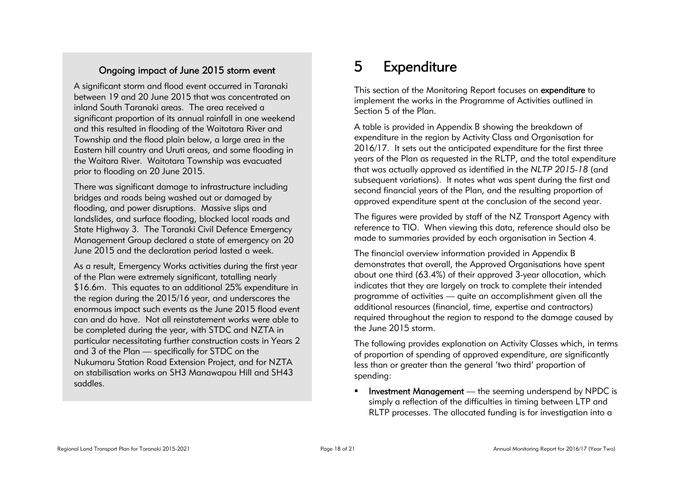## Ongoing impact of June 2015 storm event

A significant storm and flood event occurred in Taranaki between 19 and 20 June 2015 that was concentrated on inland South Taranaki areas. The area received a significant proportion of its annual rainfall in one weekend and this resulted in flooding of the Waitotara River and Township and the flood plain below, a large area in the Eastern hill country and Uruti areas, and some flooding in the Waitara River. Waitotara Township was evacuated prior to flooding on 20 June 2015.

There was significant damage to infrastructure including bridges and roads being washed out or damaged by flooding, and power disruptions. Massive slips and landslides, and surface flooding, blocked local roads and State Highway 3. The Taranaki Civil Defence Emergency Management Group declared a state of emergency on 20 June 2015 and the declaration period lasted a week.

As a result, Emergency Works activities during the first year of the Plan were extremely significant, totalling nearly \$16.6m. This equates to an additional 25% expenditure in the region during the 2015/16 year, and underscores the enormous impact such events as the June 2015 flood event can and do have. Not all reinstatement works were able to be completed during the year, with STDC and NZTA in particular necessitating further construction costs in Years 2 and 3 of the Plan — specifically for STDC on the Nukumaru Station Road Extension Project, and for NZTA on stabilisation works on SH3 Manawapou Hill and SH43 saddles.

## 5 Expenditure

This section of the Monitoring Report focuses on expenditure to implement the works in the Programme of Activities outlined in Section 5 of the Plan.

A table is provided in Appendix B showing the breakdown of expenditure in the region by Activity Class and Organisation for 2016/17. It sets out the anticipated expenditure for the first three years of the Plan as requested in the RLTP, and the total expenditure that was actually approved as identified in the *NLTP 2015-18* (and subsequent variations). It notes what was spent during the first and second financial years of the Plan, and the resulting proportion of approved expenditure spent at the conclusion of the second year.

The figures were provided by staff of the NZ Transport Agency with reference to TIO. When viewing this data, reference should also be made to summaries provided by each organisation in Section 4.

The financial overview information provided in Appendix B demonstrates that overall, the Approved Organisations have spent about one third (63.4%) of their approved 3-year allocation, which indicates that they are largely on track to complete their intended programme of activities — quite an accomplishment given all the additional resources (financial, time, expertise and contractors) required throughout the region to respond to the damage caused by the June 2015 storm.

The following provides explanation on Activity Classes which, in terms of proportion of spending of approved expenditure, are significantly less than or greater than the general 'two third' proportion of spending:

 Investment Management — the seeming underspend by NPDC is simply a reflection of the difficulties in timing between LTP and RLTP processes. The allocated funding is for investigation into a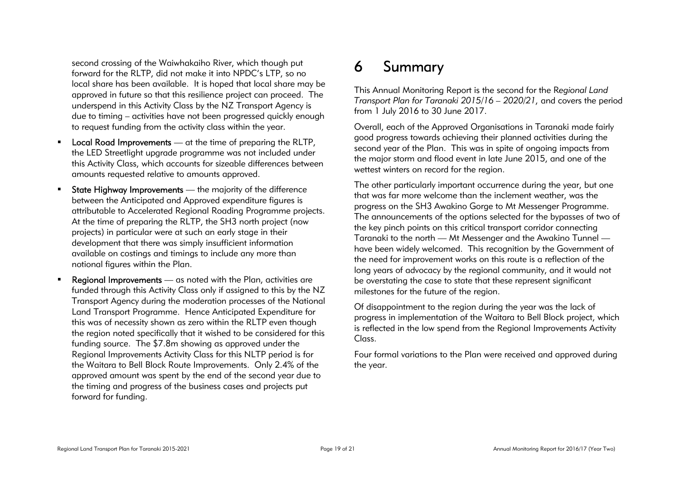second crossing of the Waiwhakaiho River, which though put forward for the RLTP, did not make it into NPDC's LTP, so no local share has been available. It is hoped that local share may be approved in future so that this resilience project can proceed. The underspend in this Activity Class by the NZ Transport Agency is due to timing – activities have not been progressed quickly enough to request funding from the activity class within the year.

- **Local Road Improvements** at the time of preparing the RLTP, the LED Streetlight upgrade programme was not included under this Activity Class, which accounts for sizeable differences between amounts requested relative to amounts approved.
- **State Highway Improvements** the majority of the difference between the Anticipated and Approved expenditure figures is attributable to Accelerated Regional Roading Programme projects. At the time of preparing the RLTP, the SH3 north project (now projects) in particular were at such an early stage in their development that there was simply insufficient information available on costings and timings to include any more than notional figures within the Plan.
- **Regional Improvements** as noted with the Plan, activities are funded through this Activity Class only if assigned to this by the NZ Transport Agency during the moderation processes of the National Land Transport Programme. Hence Anticipated Expenditure for this was of necessity shown as zero within the RLTP even though the region noted specifically that it wished to be considered for this funding source. The \$7.8m showing as approved under the Regional Improvements Activity Class for this NLTP period is for the Waitara to Bell Block Route Improvements. Only 2.4% of the approved amount was spent by the end of the second year due to the timing and progress of the business cases and projects put forward for funding.

## 6 Summary

This Annual Monitoring Report is the second for the R*egional Land Transport Plan for Taranaki 2015/16 – 2020/21,* and covers the period from 1 July 2016 to 30 June 2017.

Overall, each of the Approved Organisations in Taranaki made fairly good progress towards achieving their planned activities during the second year of the Plan. This was in spite of ongoing impacts from the major storm and flood event in late June 2015, and one of the wettest winters on record for the region.

The other particularly important occurrence during the year, but one that was far more welcome than the inclement weather, was the progress on the SH3 Awakino Gorge to Mt Messenger Programme. The announcements of the options selected for the bypasses of two of the key pinch points on this critical transport corridor connecting Taranaki to the north — Mt Messenger and the Awakino Tunnel have been widely welcomed. This recognition by the Government of the need for improvement works on this route is a reflection of the long years of advocacy by the regional community, and it would not be overstating the case to state that these represent significant milestones for the future of the region.

Of disappointment to the region during the year was the lack of progress in implementation of the Waitara to Bell Block project, which is reflected in the low spend from the Regional Improvements Activity Class

Four formal variations to the Plan were received and approved during the year.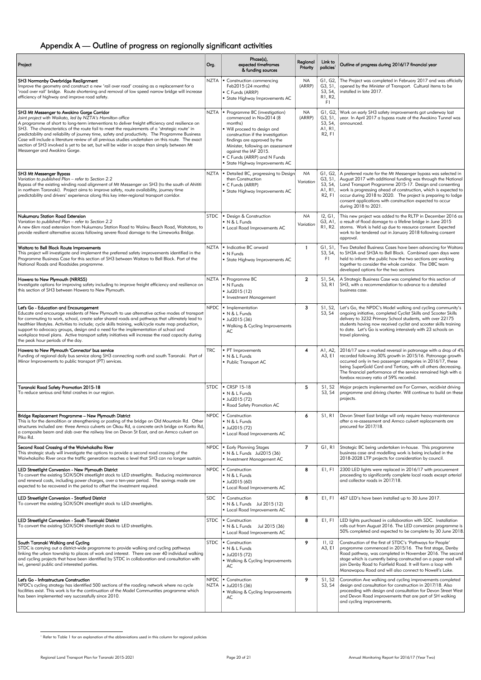## Appendix A — Outline of progress on regionally significant activities

| Project                                                                                                                                                                                                                                                                                                                                                                                                                                                                                                                                                                                                                                            | Org.       | Phase(s),<br>expected timeframes<br>& funding sources                                                                                                                                                                                                                                                    | Regional<br>Priority   | Link to<br>policies <sup>1</sup>                                 | Outline of progress during 2016/17 financial year                                                                                                                                                                                                                                                                                                                                                                       |
|----------------------------------------------------------------------------------------------------------------------------------------------------------------------------------------------------------------------------------------------------------------------------------------------------------------------------------------------------------------------------------------------------------------------------------------------------------------------------------------------------------------------------------------------------------------------------------------------------------------------------------------------------|------------|----------------------------------------------------------------------------------------------------------------------------------------------------------------------------------------------------------------------------------------------------------------------------------------------------------|------------------------|------------------------------------------------------------------|-------------------------------------------------------------------------------------------------------------------------------------------------------------------------------------------------------------------------------------------------------------------------------------------------------------------------------------------------------------------------------------------------------------------------|
| SH3 Normanby Overbridge Realignment<br>Improve the geometry and construct a new 'rail over road' crossing as a replacement for a<br>'road over rail' bridge. Route shortening and removal of low speed narrow bridge will increase<br>efficiency of highway and improve road safety.                                                                                                                                                                                                                                                                                                                                                               |            | NZTA   Construction commencing<br>Feb2015 (24 months)<br>C Funds (ARRP)<br>• State Highway Improvements AC                                                                                                                                                                                               | NA<br>(ARRP)           | GI, G2,<br>G3, S1,<br>S3, S4,<br>R1, R2,<br>F1.                  | The Project was completed in February 2017 and was officially<br>opened by the Minister of Transport. Cultural items to be<br>installed in late 2017.                                                                                                                                                                                                                                                                   |
| SH3 Mt Messenger to Awakino Gorge Corridor<br>Joint project with Waikato, led by NZTA's Hamilton office<br>A programme of short to long-term interventions to deliver freight efficiency and resilience on<br>SH3. The characteristics of the route fail to meet the requirements of a 'strategic route' in<br>predictability and reliability of journey time, safety and productivity. The Programme Business<br>Case will include a literature review of all previous studies undertaken on this route. The exact<br>section of SH3 involved is yet to be set, but will be wider in scope than simply between Mt<br>Messenger and Awakino Gorge. | NZTA       | Programme BC (investigation)<br>commenced in Nov2014 (8<br>months)<br>. Will proceed to design and<br>construction if the investigation<br>findings are approved by the<br>Minister, following an assessment<br>against the IAF 2015.<br>• C Funds (ARRP) and N Funds<br>• State Highway Improvements AC | <b>NA</b><br>(ARRP)    | G3, S1,<br>S3, S4,<br>AI, RI,<br>R <sub>2</sub> , F <sub>1</sub> | G1, G2, Work on early SH3 safety improvements got underway last<br>year. In April 2017 a bypass route of the Awakino Tunnel was<br>announced.                                                                                                                                                                                                                                                                           |
| SH3 Mt Messenger Bypass<br>Variation to published Plan - refer to Section 2.2<br>Bypass of the existing winding road alignment of Mt Messenger on SH3 (to the south of Ahititi<br>in northern Taranaki). Project aims to improve safety, route availability, journey time<br>predictability and drivers' experience along this key inter-regional transport corridor.                                                                                                                                                                                                                                                                              |            | NZTA   • Detailed BC, progressing to Design<br>then Construction<br>C Funds (ARRP)<br>• State Highway Improvements AC                                                                                                                                                                                    | <b>NA</b><br>Variation | G3, S1,<br>S3, S4,<br>AI, RI,<br>R <sub>2</sub> , F <sub>1</sub> | G1, G2, A preferred route for the Mt Messenger bypass was selected in<br>August 2017 with additional funding was through the National<br>Land Transport Programme 2015-17. Design and consenting<br>work is progressing ahead of construction, which is expected to<br>occur during 2018 to 2020. The project is preparing to lodge<br>consent applications with construction expected to occur<br>during 2018 to 2021. |
| <b>Nukumaru Station Road Extension</b><br>Variation to published Plan - refer to Section 2.2<br>A new 6km road extension from Nukumaru Station Road to Waiinu Beach Road, Waitotara, to<br>provide resilient alternative access following severe flood damage to the Limeworks Bridge.                                                                                                                                                                                                                                                                                                                                                             | STDC       | Design & Construction<br>$N & L$ Funds<br>• Local Road Improvements AC                                                                                                                                                                                                                                   | <b>NA</b><br>Variation | 12, G1,<br>R1, R2.                                               | This new project was added to the RLTP in December 2016 as<br>G3, A1, a result of flood damage to a lifeline bridge in June 2015<br>storms. Work is held up due to resource consent. Expected<br>work to be tendered out in January 2018 following consent<br>approval.                                                                                                                                                 |
| Waitara to Bell Block Route Improvements<br>This project will investigate and implement the preferred safety improvements identified in the<br>Programme Business Case for this section of SH3 between Waitara to Bell Block. Part of the<br>National Roads and Roadsides programme.                                                                                                                                                                                                                                                                                                                                                               |            | NZTA   • Indicative BC onward<br>$\blacksquare$ N Funds<br>• State Highway Improvements AC                                                                                                                                                                                                               | -1                     | G1, S1,<br>S3, S4,<br>F1.                                        | Two Detailed Business Cases have been advancing for Waitara<br>to SH3A and SH3A to Bell Block. Combined open days were<br>held to inform the public how the two sections are working<br>together to consider the whole corridor. The DBC team<br>developed options for the two sections                                                                                                                                 |
| Hawera to New Plymouth (NRR55)<br>Investigate options for improving safety including to improve freight efficiency and resilience on<br>this section of SH3 between Hawera to New Plymouth.                                                                                                                                                                                                                                                                                                                                                                                                                                                        | NZTA       | Programme BC<br>$\blacksquare$ N Funds<br>$-$ Jul2015 (12)<br>Investment Management                                                                                                                                                                                                                      | $\overline{2}$         | S1, S4,<br>S3, R1                                                | A Strategic Business Case was completed for this section of<br>SH3, with a recommendation to advance to a detailed<br>business case.                                                                                                                                                                                                                                                                                    |
| Let's Go - Education and Encouragement<br>Educate and encourage residents of New Plymouth to use alternative active modes of transport<br>for commuting to work, school, create safer shared roads and pathways that ultimately lead to<br>healthier lifestyles. Activities to include; cycle skills training, walk/cycle route map production,<br>support to advocacy groups, design and a need for the implementation of school and<br>workplace travel plans. Active transport safety initiatives will increase the road capacity during<br>the peak hour periods of the day.                                                                   |            | $NPDC$ = Implementation<br>N & L Funds<br>Jul2015(36)<br>· Walking & Cycling Improvements<br>AC                                                                                                                                                                                                          | 3                      | S3, S4                                                           | S1, S2, Let's Go, the NPDC's Model walking and cycling community's<br>ongoing initiative, completed Cyclist Skills and Scooter Skills<br>delivery to 3232 Primary School students, with over 22175<br>students having now received cyclist and scooter skills training<br>to date. Let's Go is working intensively with 23 schools on<br>travel planning.                                                               |
| Hawera to New Plymouth 'Connector' bus service<br>Funding of regional daily bus service along SH3 connecting north and south Taranaki. Part of<br>Minor Improvements to public transport (PT) services.                                                                                                                                                                                                                                                                                                                                                                                                                                            | <b>TRC</b> | • PT Improvements<br>N & L Funds<br>• Public Transport AC                                                                                                                                                                                                                                                | 4                      | A1, A2,<br>A3, E1                                                | 2016/17 saw a marked reversal in patronage with a drop of 4%<br>recorded following 30% growth in 2015/16. Patronage growth<br>occurred only in two passenger categories in 2016/17, these<br>being SuperGold Card and Tertiary, with all others decreasing.<br>The financial performance of the service remained high with a<br>farebox recovery ratio of 59% recorded.                                                 |
| Taranaki Road Safety Promotion 2015-18<br>To reduce serious and fatal crashes in our region.                                                                                                                                                                                                                                                                                                                                                                                                                                                                                                                                                       |            | STDC $\vert$ = CRSP 15-18<br>N & L Funds<br>$-$ Jul2015 (72)<br>Road Safety Promotion AC                                                                                                                                                                                                                 | 5                      | S1, S2<br>S3, S4                                                 | Major projects implemented are For Carmen, recidivist driving<br>programme and driving charter. Will continue to build on these<br>projects.                                                                                                                                                                                                                                                                            |
| Bridge Replacement Programme - New Plymouth District<br>This is for the demolition or strengthening or posting of the bridge on Old Mountain Rd. Other<br>structures included are: three Armco culverts on Okau Rd, a concrete arch bridge on Korito Rd,<br>a composite beam and slab over the railway line on Devon St East, and an Armco culvert on<br>Piko Rd.                                                                                                                                                                                                                                                                                  |            | NPDC   Construction<br>N & L Funds<br>Jul2015 (72)<br>• Local Road Improvements AC                                                                                                                                                                                                                       | 6                      | S1, R1                                                           | Devon Street East bridge will only require heavy maintenance<br>after a re-assessment and Armco culvert replacements are<br>procured for 2017/18.                                                                                                                                                                                                                                                                       |
| Second Road Crossing of the Waiwhakaiho River<br>This strategic study will investigate the options to provide a second road crossing of the<br>Waiwhakaiho River once the traffic generation reaches a level that SH3 can no longer sustain.                                                                                                                                                                                                                                                                                                                                                                                                       |            | NPDC   Early Planning Stages<br>• N & L Funds Jul2015 (36)<br>Investment Management AC                                                                                                                                                                                                                   | $\overline{7}$         | GI, RI                                                           | Strategic BC being undertaken in-house. This programme<br>business case and modelling work is being included in the<br>2018-2028 LTP projects for consideration by council.                                                                                                                                                                                                                                             |
| LED Streetlight Conversion - New Plymouth District<br>To convert the existing SOX/SON streetlight stock to LED streetlights. Reducing maintenance<br>and renewal costs, including power charges, over a ten-year period. The savings made are<br>expected to be recovered in the period to offset the investment required.                                                                                                                                                                                                                                                                                                                         |            | NPDC   Construction<br>N & L Funds<br>$\blacksquare$ Jul2015 (60)<br>• Local Road Improvements AC                                                                                                                                                                                                        | 8                      | E1, F1                                                           | 2300 LED lights were replaced in 2016/17 with procurement<br>proceeding to significantly complete local roads except arterial<br>and collector roads in 2017/18.                                                                                                                                                                                                                                                        |
| LED Streetlight Conversion - Stratford District<br>To convert the existing SOX/SON streetlight stock to LED streetlights.                                                                                                                                                                                                                                                                                                                                                                                                                                                                                                                          | SDC.       | • Construction<br>• N & L Funds Jul 2015 (12)<br>• Local Road Improvements AC                                                                                                                                                                                                                            | 8                      | E1, F1                                                           | 467 LED's have been installed up to 30 June 2017.                                                                                                                                                                                                                                                                                                                                                                       |
| LED Streetlight Conversion - South Taranaki District<br>To convert the existing SOX/SON streetlight stock to LED streetlights.                                                                                                                                                                                                                                                                                                                                                                                                                                                                                                                     |            | STDC   Construction<br>• N & L Funds Jul 2015 (36)<br>• Local Road Improvements AC                                                                                                                                                                                                                       | 8                      | E1, F1                                                           | LED lights purchased in collaboration with SDC. Installation<br>rolls out from August 2016. The LED conversion programme is<br>50% completed and expected to be complete by 30 June 2018.                                                                                                                                                                                                                               |
| South Taranaki Walking and Cycling<br>STDC is carrying out a district-wide programme to provide walking and cycling pathways<br>linking the urban township to places of work and interest. There are over 40 individual walking<br>and cycling projects that have been identified by STDC in collaboration and consultation with<br>iwi, general public and interested parties.                                                                                                                                                                                                                                                                    |            | STDC   Construction<br>N & L Funds<br>Jul2015(72)<br>• Walking & Cycling Improvements<br>AC                                                                                                                                                                                                              | 9                      | 1, 12<br>A3, E1                                                  | Construction of the first of STDC's 'Pathways for People'<br>programme commenced in 2015/16. The first stage, Denby<br>Road pathway, was completed in November 2016. The second<br>stage which is currently being constructed on a paper road will<br>join Denby Road to Fairfield Road. It will form a loop with<br>Manawapou Road and will also connect to Nowell's Lake.                                             |
| Let's Go - Infrastructure Construction<br>NPDC's cycling strategy has identified 500 sections of the roading network where no cycle<br>facilities exist. This work is for the continuation of the Model Communities programme which<br>has been implemented very successfully since 2010.                                                                                                                                                                                                                                                                                                                                                          |            | NPDC   Construction<br>NZTA   Jul2015 (36)<br>• Walking & Cycling Improvements<br>AC                                                                                                                                                                                                                     | 9                      | S1, S2<br>S3, S4                                                 | Coronation Ave walking and cycling improvements completed<br>design and consultation for construction in 2017/18. Also<br>proceeding with design and consultation for Devon Street West<br>and Devon Road improvements that are part of SH walking<br>and cycling improvements.                                                                                                                                         |

 1 Refer to Table 1 for an explanation of the abbreviations used in this column for regional policies